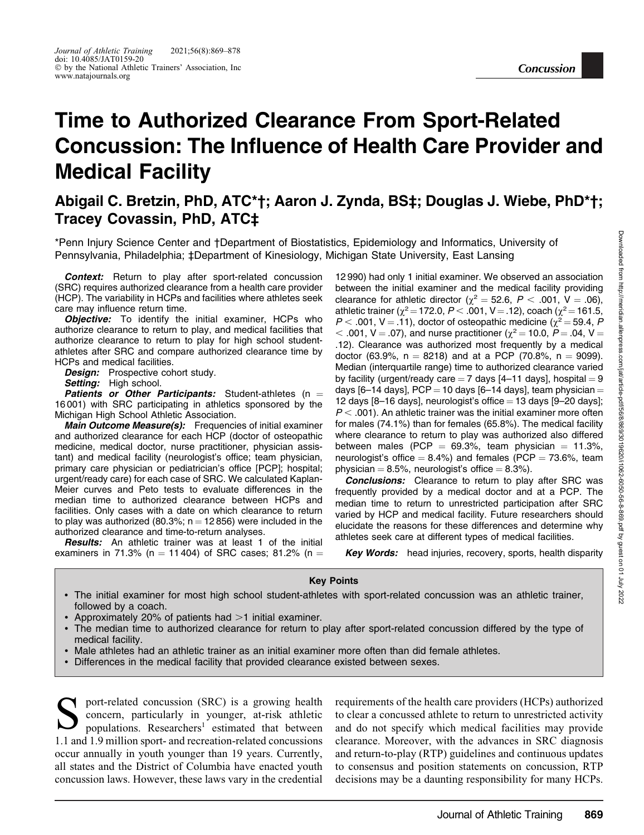# Time to Authorized Clearance From Sport-Related Concussion: The Influence of Health Care Provider and Medical Facility

# Abigail C. Bretzin, PhD, ATC\*†; Aaron J. Zynda, BS‡; Douglas J. Wiebe, PhD\*†; Tracey Covassin, PhD, ATC‡

\*Penn Injury Science Center and †Department of Biostatistics, Epidemiology and Informatics, University of Pennsylvania, Philadelphia; ‡Department of Kinesiology, Michigan State University, East Lansing

Context: Return to play after sport-related concussion (SRC) requires authorized clearance from a health care provider (HCP). The variability in HCPs and facilities where athletes seek care may influence return time.

**Objective:** To identify the initial examiner, HCPs who authorize clearance to return to play, and medical facilities that authorize clearance to return to play for high school studentathletes after SRC and compare authorized clearance time by HCPs and medical facilities.

**Design:** Prospective cohort study.

Setting: High school.

**Patients or Other Participants:** Student-athletes ( $n =$ 16 001) with SRC participating in athletics sponsored by the Michigan High School Athletic Association.

**Main Outcome Measure(s):** Frequencies of initial examiner and authorized clearance for each HCP (doctor of osteopathic medicine, medical doctor, nurse practitioner, physician assistant) and medical facility (neurologist's office; team physician, primary care physician or pediatrician's office [PCP]; hospital; urgent/ready care) for each case of SRC. We calculated Kaplan-Meier curves and Peto tests to evaluate differences in the median time to authorized clearance between HCPs and facilities. Only cases with a date on which clearance to return to play was authorized (80.3%;  $n = 12 856$ ) were included in the authorized clearance and time-to-return analyses.

**Results:** An athletic trainer was at least 1 of the initial examiners in 71.3% (n = 11 404) of SRC cases; 81.2% (n = 12 990) had only 1 initial examiner. We observed an association between the initial examiner and the medical facility providing clearance for athletic director ( $\chi^2 = 52.6$ ,  $P < .001$ , V = .06), athletic trainer ( $\chi^2$  = 172.0, P < .001, V = .12), coach ( $\chi^2$  = 161.5,  $P < .001$ , V = .11), doctor of osteopathic medicine ( $\chi^2 = 59.4$ , P  $<$  .001, V = .07), and nurse practitioner ( $\chi^2$  = 10.0, P = .04, V = .12). Clearance was authorized most frequently by a medical doctor (63.9%,  $n = 8218$ ) and at a PCP (70.8%,  $n = 9099$ ). Median (interquartile range) time to authorized clearance varied by facility (urgent/ready care  $= 7$  days [4–11 days], hospital  $= 9$ days [6–14 days], PCP = 10 days [6–14 days], team physician = 12 days  $[8-16$  days], neurologist's office  $= 13$  days  $[9-20$  days];  $P < .001$ ). An athletic trainer was the initial examiner more often for males (74.1%) than for females (65.8%). The medical facility where clearance to return to play was authorized also differed between males (PCP =  $69.3\%$ , team physician = 11.3%, neurologist's office  $= 8.4\%$ ) and females (PCP  $= 73.6\%$ , team physician  $= 8.5\%$ , neurologist's office  $= 8.3\%$ ).

**Concussion** 

**Conclusions:** Clearance to return to play after SRC was frequently provided by a medical doctor and at a PCP. The median time to return to unrestricted participation after SRC varied by HCP and medical facility. Future researchers should elucidate the reasons for these differences and determine why athletes seek care at different types of medical facilities.

**Key Words:** head injuries, recovery, sports, health disparity

#### Key Points

- The initial examiner for most high school student-athletes with sport-related concussion was an athletic trainer, followed by a coach.
- Approximately 20% of patients had >1 initial examiner.
- The median time to authorized clearance for return to play after sport-related concussion differed by the type of medical facility.
- -Male athletes had an athletic trainer as an initial examiner more often than did female athletes.
- Differences in the medical facility that provided clearance existed between sexes.

Sport-related concussion (SRC) is a growing health<br>concern, particularly in younger, at-risk athletic<br>populations. Researchers<sup>1</sup> estimated that between<br>1.1 and 1.0 million upont and requestion related conversions concern, particularly in younger, at-risk athletic populations. Researchers<sup>1</sup> estimated that between 1.1 and 1.9 million sport- and recreation-related concussions occur annually in youth younger than 19 years. Currently, all states and the District of Columbia have enacted youth concussion laws. However, these laws vary in the credential

requirements of the health care providers (HCPs) authorized to clear a concussed athlete to return to unrestricted activity and do not specify which medical facilities may provide clearance. Moreover, with the advances in SRC diagnosis and return-to-play (RTP) guidelines and continuous updates to consensus and position statements on concussion, RTP decisions may be a daunting responsibility for many HCPs.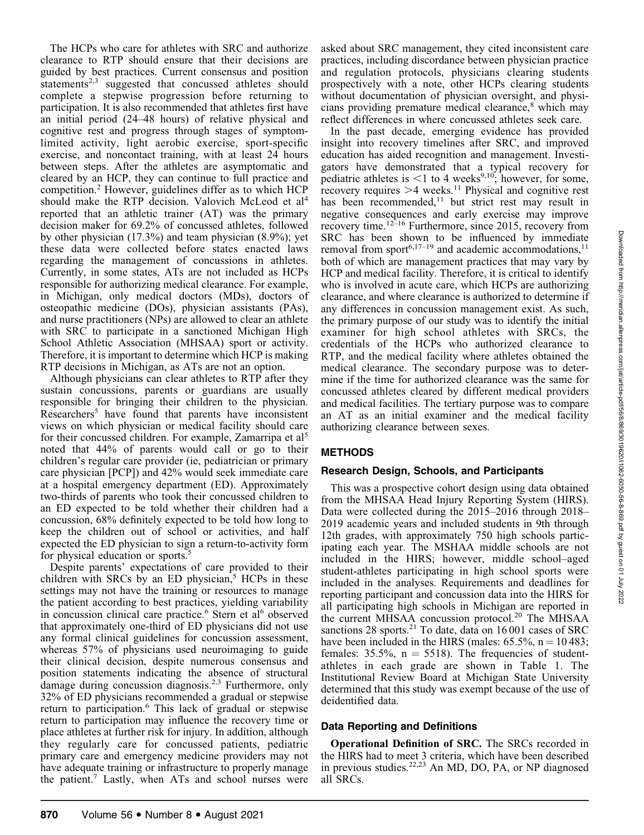The HCPs who care for athletes with SRC and authorize clearance to RTP should ensure that their decisions are guided by best practices. Current consensus and position statements $2,3$  suggested that concussed athletes should complete a stepwise progression before returning to participation. It is also recommended that athletes first have an initial period (24–48 hours) of relative physical and cognitive rest and progress through stages of symptomlimited activity, light aerobic exercise, sport-specific exercise, and noncontact training, with at least 24 hours between steps. After the athletes are asymptomatic and cleared by an HCP, they can continue to full practice and competition.2 However, guidelines differ as to which HCP should make the RTP decision. Valovich McLeod et al<sup>4</sup> reported that an athletic trainer (AT) was the primary decision maker for 69.2% of concussed athletes, followed by other physician (17.3%) and team physician (8.9%); yet these data were collected before states enacted laws regarding the management of concussions in athletes. Currently, in some states, ATs are not included as HCPs responsible for authorizing medical clearance. For example, in Michigan, only medical doctors (MDs), doctors of osteopathic medicine (DOs), physician assistants (PAs), and nurse practitioners (NPs) are allowed to clear an athlete with SRC to participate in a sanctioned Michigan High School Athletic Association (MHSAA) sport or activity. Therefore, it is important to determine which HCP is making RTP decisions in Michigan, as ATs are not an option.

Although physicians can clear athletes to RTP after they sustain concussions, parents or guardians are usually responsible for bringing their children to the physician. Researchers<sup>5</sup> have found that parents have inconsistent views on which physician or medical facility should care for their concussed children. For example, Zamarripa et al<sup>5</sup> noted that 44% of parents would call or go to their children's regular care provider (ie, pediatrician or primary care physician [PCP]) and 42% would seek immediate care at a hospital emergency department (ED). Approximately two-thirds of parents who took their concussed children to an ED expected to be told whether their children had a concussion, 68% definitely expected to be told how long to keep the children out of school or activities, and half expected the ED physician to sign a return-to-activity form for physical education or sports.<sup>5</sup>

Despite parents' expectations of care provided to their children with SRCs by an ED physician,<sup>5</sup> HCPs in these settings may not have the training or resources to manage the patient according to best practices, yielding variability in concussion clinical care practice.<sup>6</sup> Stern et al<sup>6</sup> observed that approximately one-third of ED physicians did not use any formal clinical guidelines for concussion assessment, whereas 57% of physicians used neuroimaging to guide their clinical decision, despite numerous consensus and position statements indicating the absence of structural damage during concussion diagnosis.<sup>2,3</sup> Furthermore, only 32% of ED physicians recommended a gradual or stepwise return to participation.6 This lack of gradual or stepwise return to participation may influence the recovery time or place athletes at further risk for injury. In addition, although they regularly care for concussed patients, pediatric primary care and emergency medicine providers may not have adequate training or infrastructure to properly manage the patient.7 Lastly, when ATs and school nurses were

asked about SRC management, they cited inconsistent care practices, including discordance between physician practice and regulation protocols, physicians clearing students prospectively with a note, other HCPs clearing students without documentation of physician oversight, and physicians providing premature medical clearance,<sup>8</sup> which may reflect differences in where concussed athletes seek care.

In the past decade, emerging evidence has provided insight into recovery timelines after SRC, and improved education has aided recognition and management. Investigators have demonstrated that a typical recovery for pediatric athletes is  $\leq 1$  to 4 weeks<sup>9,10</sup>; however, for some, recovery requires  $>4$  weeks.<sup>11</sup> Physical and cognitive rest has been recommended, $11$  but strict rest may result in negative consequences and early exercise may improve recovery time.12–16 Furthermore, since 2015, recovery from SRC has been shown to be influenced by immediate removal from sport<sup>6,17–19</sup> and academic accommodations,<sup>11</sup> both of which are management practices that may vary by HCP and medical facility. Therefore, it is critical to identify who is involved in acute care, which HCPs are authorizing clearance, and where clearance is authorized to determine if any differences in concussion management exist. As such, the primary purpose of our study was to identify the initial examiner for high school athletes with SRCs, the credentials of the HCPs who authorized clearance to RTP, and the medical facility where athletes obtained the medical clearance. The secondary purpose was to determine if the time for authorized clearance was the same for concussed athletes cleared by different medical providers and medical facilities. The tertiary purpose was to compare an AT as an initial examiner and the medical facility authorizing clearance between sexes.

# METHODS

# Research Design, Schools, and Participants

This was a prospective cohort design using data obtained from the MHSAA Head Injury Reporting System (HIRS). Data were collected during the 2015–2016 through 2018– 2019 academic years and included students in 9th through 12th grades, with approximately 750 high schools participating each year. The MSHAA middle schools are not included in the HIRS; however, middle school–aged student-athletes participating in high school sports were included in the analyses. Requirements and deadlines for reporting participant and concussion data into the HIRS for all participating high schools in Michigan are reported in the current MHSAA concussion protocol.<sup>20</sup> The MHSAA sanctions 28 sports.<sup>21</sup> To date, data on  $16001$  cases of SRC have been included in the HIRS (males:  $65.5\%$ ,  $n = 10483$ ; females:  $35.5\%$ ,  $n = 5518$ ). The frequencies of studentathletes in each grade are shown in Table 1. The Institutional Review Board at Michigan State University determined that this study was exempt because of the use of deidentified data.

# Data Reporting and Definitions

Operational Definition of SRC. The SRCs recorded in the HIRS had to meet 3 criteria, which have been described in previous studies.<sup>22,23</sup> An MD, DO, PA, or NP diagnosed all SRCs.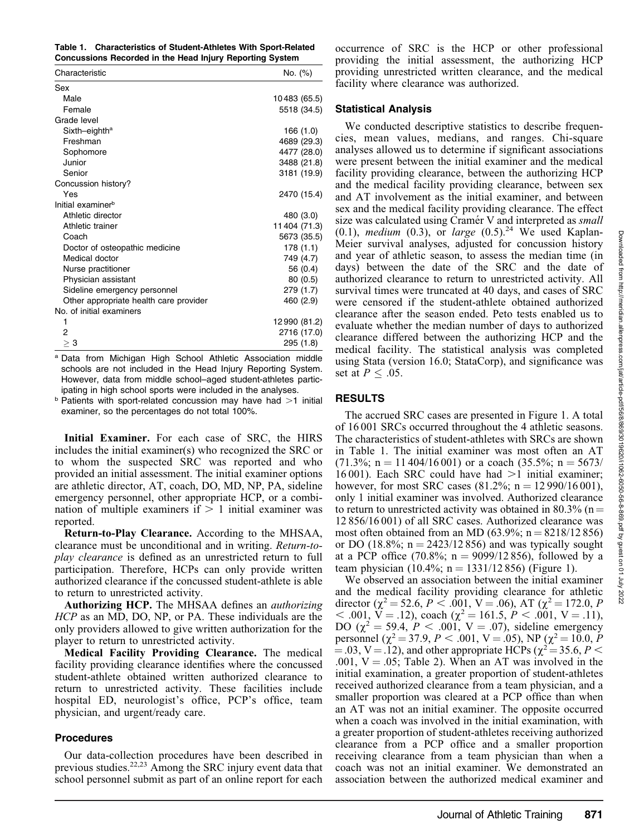Table 1. Characteristics of Student-Athletes With Sport-Related Concussions Recorded in the Head Injury Reporting System

| Characteristic                         | No. (%)      |
|----------------------------------------|--------------|
| Sex                                    |              |
| Male                                   | 10483 (65.5) |
| Female                                 | 5518 (34.5)  |
| Grade level                            |              |
| Sixth-eighth <sup>a</sup>              | 166 (1.0)    |
| Freshman                               | 4689 (29.3)  |
| Sophomore                              | 4477 (28.0)  |
| Junior                                 | 3488 (21.8)  |
| Senior                                 | 3181 (19.9)  |
| Concussion history?                    |              |
| Yes                                    | 2470 (15.4)  |
| Initial examiner <sup>b</sup>          |              |
| Athletic director                      | 480 (3.0)    |
| Athletic trainer                       | 11404 (71.3) |
| Coach                                  | 5673 (35.5)  |
| Doctor of osteopathic medicine         | 178(1.1)     |
| Medical doctor                         | 749 (4.7)    |
| Nurse practitioner                     | 56 (0.4)     |
| Physician assistant                    | 80(0.5)      |
| Sideline emergency personnel           | 279 (1.7)    |
| Other appropriate health care provider | 460 (2.9)    |
| No. of initial examiners               |              |
| 1                                      | 12990 (81.2) |
| 2                                      | 2716 (17.0)  |
| $\geq 3$                               | 295 (1.8)    |

a Data from Michigan High School Athletic Association middle schools are not included in the Head Injury Reporting System. However, data from middle school–aged student-athletes participating in high school sports were included in the analyses.

 $b$  Patients with sport-related concussion may have had  $>1$  initial examiner, so the percentages do not total 100%.

Initial Examiner. For each case of SRC, the HIRS includes the initial examiner(s) who recognized the SRC or to whom the suspected SRC was reported and who provided an initial assessment. The initial examiner options are athletic director, AT, coach, DO, MD, NP, PA, sideline emergency personnel, other appropriate HCP, or a combination of multiple examiners if  $> 1$  initial examiner was reported.

Return-to-Play Clearance. According to the MHSAA, clearance must be unconditional and in writing. Return-toplay clearance is defined as an unrestricted return to full participation. Therefore, HCPs can only provide written authorized clearance if the concussed student-athlete is able to return to unrestricted activity.

Authorizing HCP. The MHSAA defines an *authorizing* HCP as an MD, DO, NP, or PA. These individuals are the only providers allowed to give written authorization for the player to return to unrestricted activity.

Medical Facility Providing Clearance. The medical facility providing clearance identifies where the concussed student-athlete obtained written authorized clearance to return to unrestricted activity. These facilities include hospital ED, neurologist's office, PCP's office, team physician, and urgent/ready care.

#### Procedures

Our data-collection procedures have been described in previous studies.22,23 Among the SRC injury event data that school personnel submit as part of an online report for each occurrence of SRC is the HCP or other professional providing the initial assessment, the authorizing HCP providing unrestricted written clearance, and the medical facility where clearance was authorized.

## Statistical Analysis

We conducted descriptive statistics to describe frequencies, mean values, medians, and ranges. Chi-square analyses allowed us to determine if significant associations were present between the initial examiner and the medical facility providing clearance, between the authorizing HCP and the medical facility providing clearance, between sex and AT involvement as the initial examiner, and between sex and the medical facility providing clearance. The effect size was calculated using Cramér V and interpreted as *small* (0.1), medium (0.3), or large  $(0.5)$ .<sup>24</sup> We used Kaplan-Meier survival analyses, adjusted for concussion history and year of athletic season, to assess the median time (in days) between the date of the SRC and the date of authorized clearance to return to unrestricted activity. All survival times were truncated at 40 days, and cases of SRC were censored if the student-athlete obtained authorized clearance after the season ended. Peto tests enabled us to evaluate whether the median number of days to authorized clearance differed between the authorizing HCP and the medical facility. The statistical analysis was completed using Stata (version 16.0; StataCorp), and significance was set at  $P \leq .05$ .

## RESULTS

The accrued SRC cases are presented in Figure 1. A total of 16 001 SRCs occurred throughout the 4 athletic seasons. The characteristics of student-athletes with SRCs are shown in Table 1. The initial examiner was most often an AT  $(71.3\%; n = 11\,404/16\,001)$  or a coach  $(35.5\%; n = 5673/$ 16001). Each SRC could have had  $>1$  initial examiner; however, for most SRC cases  $(81.2\%; n = 12990/16001)$ , only 1 initial examiner was involved. Authorized clearance to return to unrestricted activity was obtained in 80.3% (n  $=$ 12 856/16 001) of all SRC cases. Authorized clearance was most often obtained from an MD  $(63.9\%; n = 8218/12856)$ or DO (18.8%;  $n = 2423/12856$ ) and was typically sought at a PCP office (70.8%;  $n = 9099/12856$ ), followed by a team physician (10.4%;  $n = 1331/12856$ ) (Figure 1).

We observed an association between the initial examiner and the medical facility providing clearance for athletic director ( $\chi^2$  = 52.6, P < .001, V = .06), AT ( $\chi^2$  = 172.0, P  $<$  .001,  $\ddot{V}$  = .12), coach ( $\chi^2$  = 161.5,  $\dot{P}$  < .001, V = .11), DO ( $\chi^2 = 59.4, P < .001, V = .07$ ), sideline emergency personnel ( $\chi^2$  = 37.9, P < .001, V = .05), NP ( $\chi^2$  = 10.0, P  $(4.03, V = .12)$ , and other appropriate HCPs ( $\chi^2 = 35.6, P <$ .001,  $V = .05$ ; Table 2). When an AT was involved in the initial examination, a greater proportion of student-athletes received authorized clearance from a team physician, and a smaller proportion was cleared at a PCP office than when an AT was not an initial examiner. The opposite occurred when a coach was involved in the initial examination, with a greater proportion of student-athletes receiving authorized clearance from a PCP office and a smaller proportion receiving clearance from a team physician than when a coach was not an initial examiner. We demonstrated an association between the authorized medical examiner and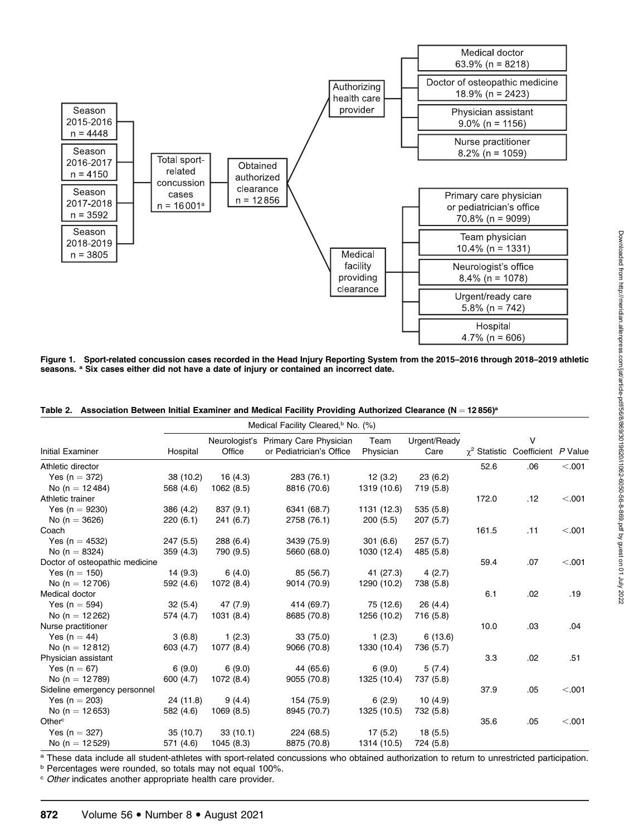

Figure 1. Sport-related concussion cases recorded in the Head Injury Reporting System from the 2015–2016 through 2018–2019 athletic seasons. <sup>a</sup> Six cases either did not have a date of injury or contained an incorrect date.

|  |  |  |  | Table 2. Association Between Initial Examiner and Medical Facility Providing Authorized Clearance ( $N = 12856$ ) <sup>a</sup> |  |  |  |  |  |  |  |
|--|--|--|--|--------------------------------------------------------------------------------------------------------------------------------|--|--|--|--|--|--|--|
|--|--|--|--|--------------------------------------------------------------------------------------------------------------------------------|--|--|--|--|--|--|--|

|                                |           |            | Medical Facility Cleared, <sup>b</sup> No. (%)                   |                   |                      |                      |                          |         |
|--------------------------------|-----------|------------|------------------------------------------------------------------|-------------------|----------------------|----------------------|--------------------------|---------|
| Initial Examiner               | Hospital  | Office     | Neurologist's Primary Care Physician<br>or Pediatrician's Office | Team<br>Physician | Urgent/Ready<br>Care | $\gamma^2$ Statistic | v<br>Coefficient P Value |         |
| Athletic director              |           |            |                                                                  |                   |                      | 52.6                 | .06                      | < .001  |
| Yes ( $n = 372$ )              | 38 (10.2) | 16(4.3)    | 283 (76.1)                                                       | 12(3.2)           | 23(6.2)              |                      |                          |         |
| No (n = $12484$ )              | 568 (4.6) | 1062 (8.5) | 8816 (70.6)                                                      | 1319 (10.6)       | 719 (5.8)            |                      |                          |         |
| Athletic trainer               |           |            |                                                                  |                   |                      | 172.0                | .12                      | < 0.001 |
| Yes ( $n = 9230$ )             | 386 (4.2) | 837 (9.1)  | 6341 (68.7)                                                      | 1131 (12.3)       | 535 (5.8)            |                      |                          |         |
| No ( $n = 3626$ )              | 220(6.1)  | 241 (6.7)  | 2758 (76.1)                                                      | 200(5.5)          | 207(5.7)             |                      |                          |         |
| Coach                          |           |            |                                                                  |                   |                      | 161.5                | .11                      | < .001  |
| Yes (n = $4532$ )              | 247(5.5)  | 288 (6.4)  | 3439 (75.9)                                                      | 301(6.6)          | 257(5.7)             |                      |                          |         |
| No ( $n = 8324$ )              | 359(4.3)  | 790 (9.5)  | 5660 (68.0)                                                      | 1030 (12.4)       | 485 (5.8)            |                      |                          |         |
| Doctor of osteopathic medicine |           |            |                                                                  |                   |                      | 59.4                 | .07                      | < .001  |
| Yes ( $n = 150$ )              | 14(9.3)   | 6(4.0)     | 85 (56.7)                                                        | 41 (27.3)         | 4(2.7)               |                      |                          |         |
| No (n = $12706$ )              | 592 (4.6) | 1072 (8.4) | 9014 (70.9)                                                      | 1290 (10.2)       | 738 (5.8)            |                      |                          |         |
| Medical doctor                 |           |            |                                                                  |                   |                      | 6.1                  | .02                      | .19     |
| Yes ( $n = 594$ )              | 32(5.4)   | 47 (7.9)   | 414 (69.7)                                                       | 75 (12.6)         | 26(4.4)              |                      |                          |         |
| No (n = $12262$ )              | 574 (4.7) | 1031 (8.4) | 8685 (70.8)                                                      | 1256 (10.2)       | 716 (5.8)            |                      |                          |         |
| Nurse practitioner             |           |            |                                                                  |                   |                      | 10.0                 | .03                      | .04     |
| Yes ( $n = 44$ )               | 3(6.8)    | 1(2.3)     | 33 (75.0)                                                        | 1(2.3)            | 6(13.6)              |                      |                          |         |
| No ( $n = 12812$ )             | 603 (4.7) | 1077 (8.4) | 9066 (70.8)                                                      | 1330 (10.4)       | 736 (5.7)            |                      |                          |         |
| Physician assistant            |           |            |                                                                  |                   |                      | 3.3                  | .02                      | .51     |
| Yes ( $n = 67$ )               | 6(9.0)    | 6(9.0)     | 44 (65.6)                                                        | 6(9.0)            | 5(7.4)               |                      |                          |         |
| No (n = $12789$ )              | 600 (4.7) | 1072 (8.4) | 9055 (70.8)                                                      | 1325 (10.4)       | 737 (5.8)            |                      |                          |         |
| Sideline emergency personnel   |           |            |                                                                  |                   |                      | 37.9                 | .05                      | < 0.001 |
| Yes ( $n = 203$ )              | 24 (11.8) | 9(4.4)     | 154 (75.9)                                                       | 6(2.9)            | 10(4.9)              |                      |                          |         |
| No (n = $12653$ )              | 582 (4.6) | 1069 (8.5) | 8945 (70.7)                                                      | 1325 (10.5)       | 732 (5.8)            |                      |                          |         |
| Other <sup>c</sup>             |           |            |                                                                  |                   |                      | 35.6                 | .05                      | < 0.001 |
| Yes ( $n = 327$ )              | 35(10.7)  | 33(10.1)   | 224 (68.5)                                                       | 17(5.2)           | 18(5.5)              |                      |                          |         |
| No (n = $12529$ )              | 571 (4.6) | 1045 (8.3) | 8875 (70.8)                                                      | 1314 (10.5)       | 724 (5.8)            |                      |                          |         |

a These data include all student-athletes with sport-related concussions who obtained authorization to return to unrestricted participation.

b Percentages were rounded, so totals may not equal 100%.

c Other indicates another appropriate health care provider.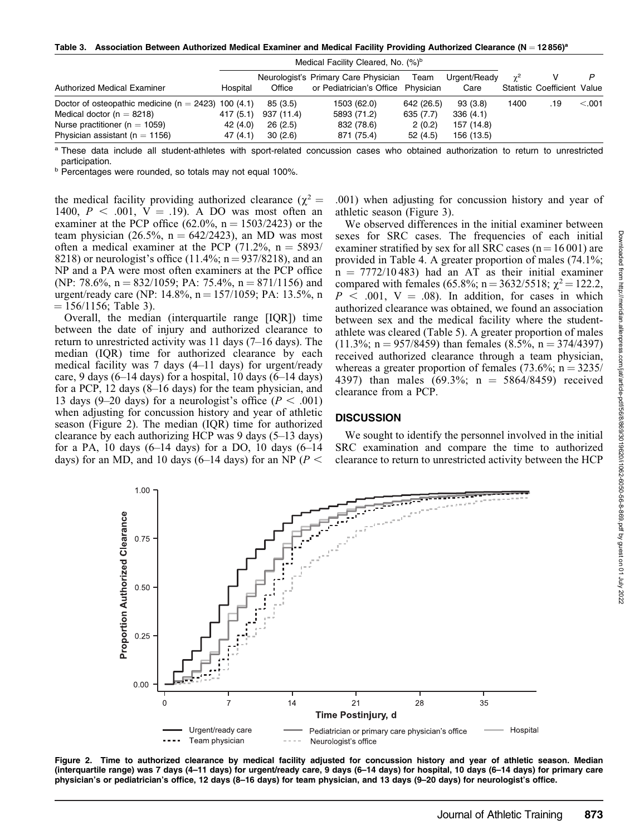Table 3. Association Between Authorized Medical Examiner and Medical Facility Providing Authorized Clearance (N = 12856)<sup>a</sup>

|                                                                                                                                                                     | Medical Facility Cleared, No. (%) <sup>b</sup> |                                              |                                                                            |                                              |                                                 |      |                             |         |
|---------------------------------------------------------------------------------------------------------------------------------------------------------------------|------------------------------------------------|----------------------------------------------|----------------------------------------------------------------------------|----------------------------------------------|-------------------------------------------------|------|-----------------------------|---------|
| Authorized Medical Examiner                                                                                                                                         | Hospital                                       | Office                                       | Neurologist's Primary Care Physician<br>or Pediatrician's Office Physician | Team                                         | Urgent/Ready<br>Care                            |      | Statistic Coefficient Value |         |
| Doctor of osteopathic medicine ( $n = 2423$ ) 100 (4.1)<br>Medical doctor ( $n = 8218$ )<br>Nurse practitioner ( $n = 1059$ )<br>Physician assistant ( $n = 1156$ ) | 417 (5.1)<br>42 (4.0)<br>47(4.1)               | 85 (3.5)<br>937 (11.4)<br>26(2.5)<br>30(2.6) | 1503 (62.0)<br>5893 (71.2)<br>832 (78.6)<br>871 (75.4)                     | 642 (26.5)<br>635 (7.7)<br>2(0.2)<br>52(4.5) | 93(3.8)<br>336(4.1)<br>157 (14.8)<br>156 (13.5) | 1400 | .19                         | < 0.001 |

a These data include all student-athletes with sport-related concussion cases who obtained authorization to return to unrestricted participation.

b Percentages were rounded, so totals may not equal 100%.

the medical facility providing authorized clearance ( $\chi^2$  = 1400,  $P < .001$ ,  $V = .19$ ). A DO was most often an examiner at the PCP office (62.0%,  $n = 1503/2423$ ) or the team physician (26.5%,  $n = 642/2423$ ), an MD was most often a medical examiner at the PCP (71.2%,  $n = 5893/$ 8218) or neurologist's office  $(11.4\%; n = 937/8218)$ , and an NP and a PA were most often examiners at the PCP office (NP: 78.6%,  $n = 832/1059$ ; PA: 75.4%,  $n = 871/1156$ ) and urgent/ready care (NP: 14.8%,  $n = 157/1059$ ; PA: 13.5%, n  $= 156/1156$ ; Table 3).

Overall, the median (interquartile range [IQR]) time between the date of injury and authorized clearance to return to unrestricted activity was 11 days (7–16 days). The median (IQR) time for authorized clearance by each medical facility was 7 days (4–11 days) for urgent/ready care, 9 days  $(6-14 \text{ days})$  for a hospital, 10 days  $(6-14 \text{ days})$ for a PCP, 12 days (8–16 days) for the team physician, and 13 days (9–20 days) for a neurologist's office ( $P < .001$ ) when adjusting for concussion history and year of athletic season (Figure 2). The median (IQR) time for authorized clearance by each authorizing HCP was 9 days (5–13 days) for a PA, 10 days  $(6-14 \text{ days})$  for a DO, 10 days  $(6-14 \text{ days})$ days) for an MD, and 10 days (6–14 days) for an NP ( $P <$ 

.001) when adjusting for concussion history and year of athletic season (Figure 3).

We observed differences in the initial examiner between sexes for SRC cases. The frequencies of each initial examiner stratified by sex for all SRC cases ( $n = 16001$ ) are provided in Table 4. A greater proportion of males (74.1%;  $n = 7772/10483$ ) had an AT as their initial examiner compared with females (65.8%; n = 3632/5518;  $\chi^2$  = 122.2,  $P < .001$ , V = .08). In addition, for cases in which authorized clearance was obtained, we found an association between sex and the medical facility where the studentathlete was cleared (Table 5). A greater proportion of males  $(11.3\%; n = 957/8459)$  than females  $(8.5\%, n = 374/4397)$ received authorized clearance through a team physician, whereas a greater proportion of females  $(73.6\%; n = 3235/$ 4397) than males  $(69.3\%; n = 5864/8459)$  received clearance from a PCP.

#### **DISCUSSION**

We sought to identify the personnel involved in the initial SRC examination and compare the time to authorized clearance to return to unrestricted activity between the HCP



Figure 2. Time to authorized clearance by medical facility adjusted for concussion history and year of athletic season. Median (interquartile range) was 7 days (4–11 days) for urgent/ready care, 9 days (6–14 days) for hospital, 10 days (6–14 days) for primary care physician's or pediatrician's office, 12 days (8–16 days) for team physician, and 13 days (9–20 days) for neurologist's office.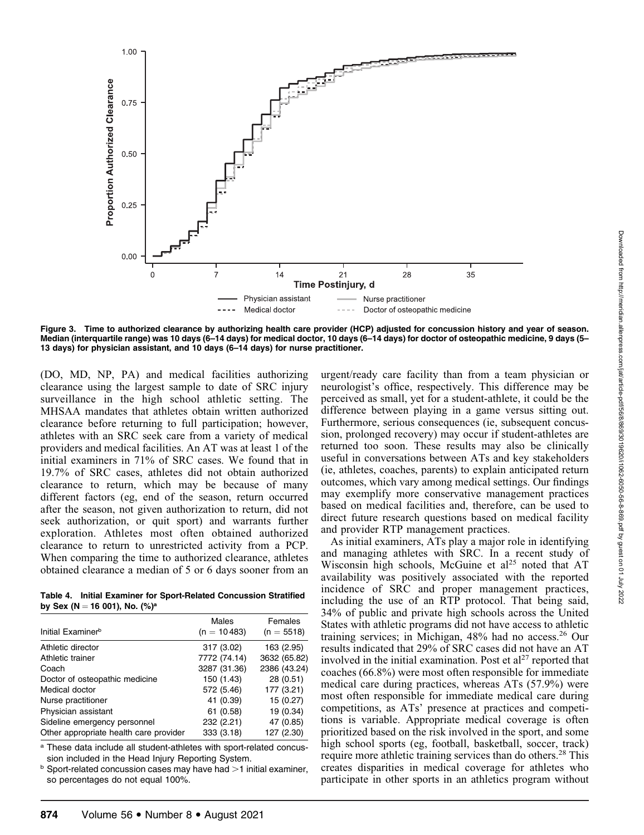

Figure 3. Time to authorized clearance by authorizing health care provider (HCP) adjusted for concussion history and year of season. Median (interquartile range) was 10 days (6–14 days) for medical doctor, 10 days (6–14 days) for doctor of osteopathic medicine, 9 days (5– 13 days) for physician assistant, and 10 days (6–14 days) for nurse practitioner.

(DO, MD, NP, PA) and medical facilities authorizing clearance using the largest sample to date of SRC injury surveillance in the high school athletic setting. The MHSAA mandates that athletes obtain written authorized clearance before returning to full participation; however, athletes with an SRC seek care from a variety of medical providers and medical facilities. An AT was at least 1 of the initial examiners in 71% of SRC cases. We found that in 19.7% of SRC cases, athletes did not obtain authorized clearance to return, which may be because of many different factors (eg, end of the season, return occurred after the season, not given authorization to return, did not seek authorization, or quit sport) and warrants further exploration. Athletes most often obtained authorized clearance to return to unrestricted activity from a PCP. When comparing the time to authorized clearance, athletes obtained clearance a median of 5 or 6 days sooner from an

Table 4. Initial Examiner for Sport-Related Concussion Stratified by Sex (N = 16 001), No. (%)<sup>a</sup>

| Initial Examiner <sup>b</sup>          | Males<br>$(n = 10483)$ | Females<br>$(n = 5518)$ |
|----------------------------------------|------------------------|-------------------------|
| Athletic director                      | 317 (3.02)             | 163 (2.95)              |
| Athletic trainer                       | 7772 (74.14)           | 3632 (65.82)            |
| Coach                                  | 3287 (31.36)           | 2386 (43.24)            |
| Doctor of osteopathic medicine         | 150 (1.43)             | 28 (0.51)               |
| Medical doctor                         | 572 (5.46)             | 177 (3.21)              |
| Nurse practitioner                     | 41 (0.39)              | 15(0.27)                |
| Physician assistant                    | 61 (0.58)              | 19 (0.34)               |
| Sideline emergency personnel           | 232 (2.21)             | 47 (0.85)               |
| Other appropriate health care provider | 333 (3.18)             | 127 (2.30)              |

a These data include all student-athletes with sport-related concussion included in the Head Injury Reporting System.

 $b$  Sport-related concussion cases may have had  $>1$  initial examiner, so percentages do not equal 100%.

urgent/ready care facility than from a team physician or neurologist's office, respectively. This difference may be perceived as small, yet for a student-athlete, it could be the difference between playing in a game versus sitting out. Furthermore, serious consequences (ie, subsequent concussion, prolonged recovery) may occur if student-athletes are returned too soon. These results may also be clinically useful in conversations between ATs and key stakeholders (ie, athletes, coaches, parents) to explain anticipated return outcomes, which vary among medical settings. Our findings may exemplify more conservative management practices based on medical facilities and, therefore, can be used to direct future research questions based on medical facility and provider RTP management practices.

As initial examiners, ATs play a major role in identifying and managing athletes with SRC. In a recent study of Wisconsin high schools, McGuine et  $al^{25}$  noted that AT availability was positively associated with the reported incidence of SRC and proper management practices, including the use of an RTP protocol. That being said, 34% of public and private high schools across the United States with athletic programs did not have access to athletic training services; in Michigan, 48% had no access.<sup>26</sup> Our results indicated that 29% of SRC cases did not have an AT involved in the initial examination. Post et  $al<sup>27</sup>$  reported that coaches (66.8%) were most often responsible for immediate medical care during practices, whereas ATs (57.9%) were most often responsible for immediate medical care during competitions, as ATs' presence at practices and competitions is variable. Appropriate medical coverage is often prioritized based on the risk involved in the sport, and some high school sports (eg, football, basketball, soccer, track) require more athletic training services than do others.<sup>28</sup> This creates disparities in medical coverage for athletes who participate in other sports in an athletics program without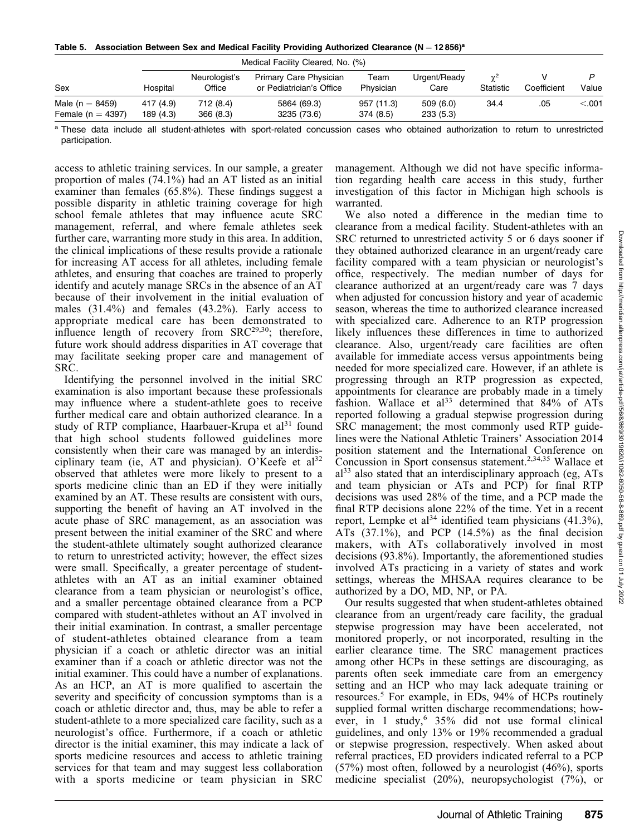Table 5. Association Between Sex and Medical Facility Providing Authorized Clearance ( $N = 12856$ )<sup>a</sup>

|                                              |                       |                         | Medical Facility Cleared, No. (%)                  |                        |                      |                         |             |         |
|----------------------------------------------|-----------------------|-------------------------|----------------------------------------------------|------------------------|----------------------|-------------------------|-------------|---------|
| Sex                                          | Hospital              | Neurologist's<br>Office | Primary Care Physician<br>or Pediatrician's Office | Team<br>Physician      | Urgent/Ready<br>Care | $\gamma^2$<br>Statistic | Coefficient | Value   |
| Male ( $n = 8459$ )<br>Female ( $n = 4397$ ) | 417 (4.9)<br>189(4.3) | 712(8.4)<br>366(8.3)    | 5864 (69.3)<br>3235 (73.6)                         | 957 (11.3)<br>374(8.5) | 509(6.0)<br>233(5.3) | 34.4                    | .05         | < 0.001 |

<sup>a</sup> These data include all student-athletes with sport-related concussion cases who obtained authorization to return to unrestricted participation.

access to athletic training services. In our sample, a greater proportion of males (74.1%) had an AT listed as an initial examiner than females (65.8%). These findings suggest a possible disparity in athletic training coverage for high school female athletes that may influence acute SRC management, referral, and where female athletes seek further care, warranting more study in this area. In addition, the clinical implications of these results provide a rationale for increasing AT access for all athletes, including female athletes, and ensuring that coaches are trained to properly identify and acutely manage SRCs in the absence of an AT because of their involvement in the initial evaluation of males (31.4%) and females (43.2%). Early access to appropriate medical care has been demonstrated to influence length of recovery from  $SRC^{29,30}$ ; therefore, future work should address disparities in AT coverage that may facilitate seeking proper care and management of SRC.

Identifying the personnel involved in the initial SRC examination is also important because these professionals may influence where a student-athlete goes to receive further medical care and obtain authorized clearance. In a study of RTP compliance, Haarbauer-Krupa et al $31$  found that high school students followed guidelines more consistently when their care was managed by an interdisciplinary team (ie, AT and physician). O'Keefe et  $al^{32}$ observed that athletes were more likely to present to a sports medicine clinic than an ED if they were initially examined by an AT. These results are consistent with ours, supporting the benefit of having an AT involved in the acute phase of SRC management, as an association was present between the initial examiner of the SRC and where the student-athlete ultimately sought authorized clearance to return to unrestricted activity; however, the effect sizes were small. Specifically, a greater percentage of studentathletes with an AT as an initial examiner obtained clearance from a team physician or neurologist's office, and a smaller percentage obtained clearance from a PCP compared with student-athletes without an AT involved in their initial examination. In contrast, a smaller percentage of student-athletes obtained clearance from a team physician if a coach or athletic director was an initial examiner than if a coach or athletic director was not the initial examiner. This could have a number of explanations. As an HCP, an AT is more qualified to ascertain the severity and specificity of concussion symptoms than is a coach or athletic director and, thus, may be able to refer a student-athlete to a more specialized care facility, such as a neurologist's office. Furthermore, if a coach or athletic director is the initial examiner, this may indicate a lack of sports medicine resources and access to athletic training services for that team and may suggest less collaboration with a sports medicine or team physician in SRC

management. Although we did not have specific information regarding health care access in this study, further investigation of this factor in Michigan high schools is warranted.

We also noted a difference in the median time to clearance from a medical facility. Student-athletes with an SRC returned to unrestricted activity 5 or 6 days sooner if they obtained authorized clearance in an urgent/ready care facility compared with a team physician or neurologist's office, respectively. The median number of days for clearance authorized at an urgent/ready care was 7 days when adjusted for concussion history and year of academic season, whereas the time to authorized clearance increased with specialized care. Adherence to an RTP progression likely influences these differences in time to authorized clearance. Also, urgent/ready care facilities are often available for immediate access versus appointments being needed for more specialized care. However, if an athlete is progressing through an RTP progression as expected, appointments for clearance are probably made in a timely fashion. Wallace et al<sup>33</sup> determined that  $84\%$  of ATs reported following a gradual stepwise progression during SRC management; the most commonly used RTP guidelines were the National Athletic Trainers' Association 2014 position statement and the International Conference on Concussion in Sport consensus statement.2,34,35 Wallace et  $a^{33}$  also stated that an interdisciplinary approach (eg, ATs) and team physician or ATs and PCP) for final RTP decisions was used 28% of the time, and a PCP made the final RTP decisions alone 22% of the time. Yet in a recent report, Lempke et al<sup>34</sup> identified team physicians  $(41.3\%)$ , ATs  $(37.1\%)$ , and PCP  $(14.5\%)$  as the final decision makers, with ATs collaboratively involved in most decisions (93.8%). Importantly, the aforementioned studies involved ATs practicing in a variety of states and work settings, whereas the MHSAA requires clearance to be authorized by a DO, MD, NP, or PA.

Our results suggested that when student-athletes obtained clearance from an urgent/ready care facility, the gradual stepwise progression may have been accelerated, not monitored properly, or not incorporated, resulting in the earlier clearance time. The SRC management practices among other HCPs in these settings are discouraging, as parents often seek immediate care from an emergency setting and an HCP who may lack adequate training or resources.5 For example, in EDs, 94% of HCPs routinely supplied formal written discharge recommendations; however, in 1 study,  $6\frac{35}{%}$  did not use formal clinical guidelines, and only 13% or 19% recommended a gradual or stepwise progression, respectively. When asked about referral practices, ED providers indicated referral to a PCP (57%) most often, followed by a neurologist (46%), sports medicine specialist (20%), neuropsychologist (7%), or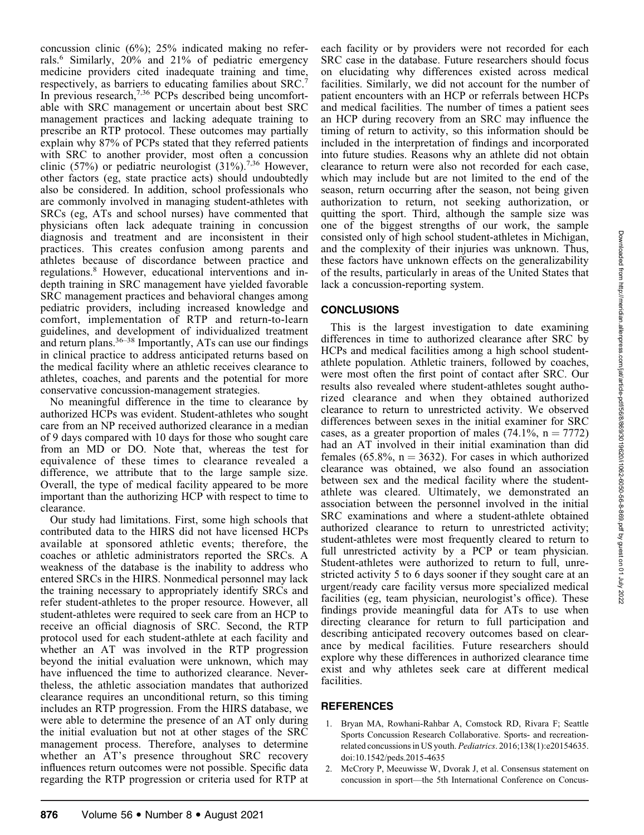concussion clinic (6%); 25% indicated making no referrals.<sup>6</sup> Similarly, 20% and 21% of pediatric emergency medicine providers cited inadequate training and time, respectively, as barriers to educating families about SRC.7 In previous research,7,36 PCPs described being uncomfortable with SRC management or uncertain about best SRC management practices and lacking adequate training to prescribe an RTP protocol. These outcomes may partially explain why 87% of PCPs stated that they referred patients with SRC to another provider, most often a concussion clinic (57%) or pediatric neurologist (31%).<sup>7,36</sup> However, other factors (eg, state practice acts) should undoubtedly also be considered. In addition, school professionals who are commonly involved in managing student-athletes with SRCs (eg, ATs and school nurses) have commented that physicians often lack adequate training in concussion diagnosis and treatment and are inconsistent in their practices. This creates confusion among parents and athletes because of discordance between practice and regulations.8 However, educational interventions and indepth training in SRC management have yielded favorable SRC management practices and behavioral changes among pediatric providers, including increased knowledge and comfort, implementation of RTP and return-to-learn guidelines, and development of individualized treatment and return plans.  $36-38$  Importantly, ATs can use our findings in clinical practice to address anticipated returns based on the medical facility where an athletic receives clearance to athletes, coaches, and parents and the potential for more conservative concussion-management strategies.

No meaningful difference in the time to clearance by authorized HCPs was evident. Student-athletes who sought care from an NP received authorized clearance in a median of 9 days compared with 10 days for those who sought care from an MD or DO. Note that, whereas the test for equivalence of these times to clearance revealed a difference, we attribute that to the large sample size. Overall, the type of medical facility appeared to be more important than the authorizing HCP with respect to time to clearance.

Our study had limitations. First, some high schools that contributed data to the HIRS did not have licensed HCPs available at sponsored athletic events; therefore, the coaches or athletic administrators reported the SRCs. A weakness of the database is the inability to address who entered SRCs in the HIRS. Nonmedical personnel may lack the training necessary to appropriately identify SRCs and refer student-athletes to the proper resource. However, all student-athletes were required to seek care from an HCP to receive an official diagnosis of SRC. Second, the RTP protocol used for each student-athlete at each facility and whether an AT was involved in the RTP progression beyond the initial evaluation were unknown, which may have influenced the time to authorized clearance. Nevertheless, the athletic association mandates that authorized clearance requires an unconditional return, so this timing includes an RTP progression. From the HIRS database, we were able to determine the presence of an AT only during the initial evaluation but not at other stages of the SRC management process. Therefore, analyses to determine whether an AT's presence throughout SRC recovery influences return outcomes were not possible. Specific data regarding the RTP progression or criteria used for RTP at each facility or by providers were not recorded for each SRC case in the database. Future researchers should focus on elucidating why differences existed across medical facilities. Similarly, we did not account for the number of patient encounters with an HCP or referrals between HCPs and medical facilities. The number of times a patient sees an HCP during recovery from an SRC may influence the timing of return to activity, so this information should be included in the interpretation of findings and incorporated into future studies. Reasons why an athlete did not obtain clearance to return were also not recorded for each case, which may include but are not limited to the end of the season, return occurring after the season, not being given authorization to return, not seeking authorization, or quitting the sport. Third, although the sample size was one of the biggest strengths of our work, the sample consisted only of high school student-athletes in Michigan, and the complexity of their injuries was unknown. Thus, these factors have unknown effects on the generalizability of the results, particularly in areas of the United States that lack a concussion-reporting system.

# **CONCLUSIONS**

This is the largest investigation to date examining differences in time to authorized clearance after SRC by HCPs and medical facilities among a high school studentathlete population. Athletic trainers, followed by coaches, were most often the first point of contact after SRC. Our results also revealed where student-athletes sought authorized clearance and when they obtained authorized clearance to return to unrestricted activity. We observed differences between sexes in the initial examiner for SRC cases, as a greater proportion of males  $(74.1\%, n = 7772)$ had an AT involved in their initial examination than did females (65.8%,  $n = 3632$ ). For cases in which authorized clearance was obtained, we also found an association between sex and the medical facility where the studentathlete was cleared. Ultimately, we demonstrated an association between the personnel involved in the initial SRC examinations and where a student-athlete obtained authorized clearance to return to unrestricted activity; student-athletes were most frequently cleared to return to full unrestricted activity by a PCP or team physician. Student-athletes were authorized to return to full, unrestricted activity 5 to 6 days sooner if they sought care at an urgent/ready care facility versus more specialized medical facilities (eg, team physician, neurologist's office). These findings provide meaningful data for ATs to use when directing clearance for return to full participation and describing anticipated recovery outcomes based on clearance by medical facilities. Future researchers should explore why these differences in authorized clearance time exist and why athletes seek care at different medical facilities.

#### REFERENCES

- 1. Bryan MA, Rowhani-Rahbar A, Comstock RD, Rivara F; Seattle Sports Concussion Research Collaborative. Sports- and recreationrelated concussions in US youth. Pediatrics. 2016;138(1):e20154635. doi:10.1542/peds.2015-4635
- 2. McCrory P, Meeuwisse W, Dvorak J, et al. Consensus statement on concussion in sport—the 5th International Conference on Concus-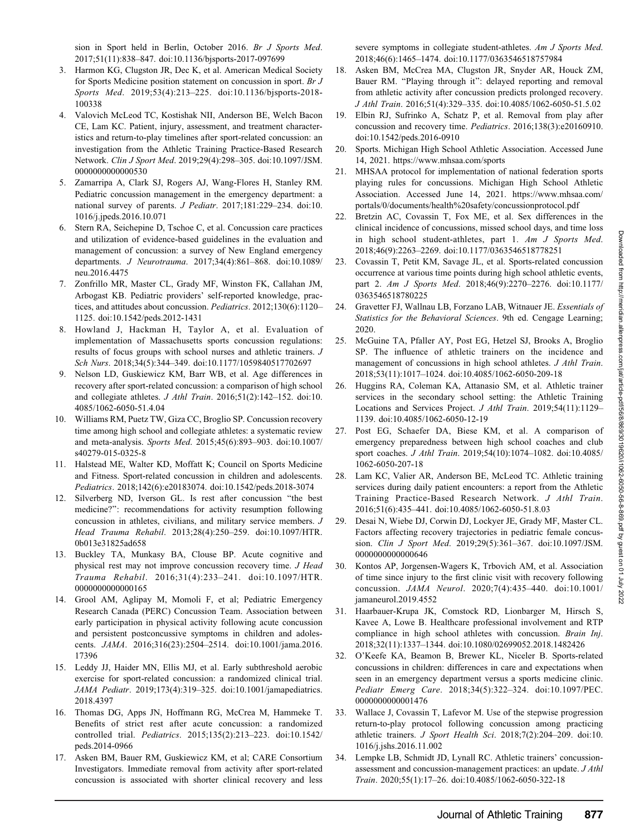- 3. Harmon KG, Clugston JR, Dec K, et al. American Medical Society for Sports Medicine position statement on concussion in sport. Br J Sports Med. 2019;53(4):213–225. doi:10.1136/bjsports-2018- 100338
- 4. Valovich McLeod TC, Kostishak NII, Anderson BE, Welch Bacon CE, Lam KC. Patient, injury, assessment, and treatment characteristics and return-to-play timelines after sport-related concussion: an investigation from the Athletic Training Practice-Based Research Network. Clin J Sport Med. 2019;29(4):298–305. doi:10.1097/JSM. 0000000000000530
- 5. Zamarripa A, Clark SJ, Rogers AJ, Wang-Flores H, Stanley RM. Pediatric concussion management in the emergency department: a national survey of parents. J Pediatr. 2017;181:229–234. doi:10. 1016/j.jpeds.2016.10.071
- 6. Stern RA, Seichepine D, Tschoe C, et al. Concussion care practices and utilization of evidence-based guidelines in the evaluation and management of concussion: a survey of New England emergency departments. J Neurotrauma. 2017;34(4):861–868. doi:10.1089/ neu.2016.4475
- 7. Zonfrillo MR, Master CL, Grady MF, Winston FK, Callahan JM, Arbogast KB. Pediatric providers' self-reported knowledge, practices, and attitudes about concussion. Pediatrics. 2012;130(6):1120-1125. doi:10.1542/peds.2012-1431
- 8. Howland J, Hackman H, Taylor A, et al. Evaluation of implementation of Massachusetts sports concussion regulations: results of focus groups with school nurses and athletic trainers. J Sch Nurs. 2018;34(5):344–349. doi:10.1177/1059840517702697
- 9. Nelson LD, Guskiewicz KM, Barr WB, et al. Age differences in recovery after sport-related concussion: a comparison of high school and collegiate athletes. J Athl Train. 2016;51(2):142–152. doi:10. 4085/1062-6050-51.4.04
- 10. Williams RM, Puetz TW, Giza CC, Broglio SP. Concussion recovery time among high school and collegiate athletes: a systematic review and meta-analysis. Sports Med. 2015;45(6):893–903. doi:10.1007/ s40279-015-0325-8
- 11. Halstead ME, Walter KD, Moffatt K; Council on Sports Medicine and Fitness. Sport-related concussion in children and adolescents. Pediatrics. 2018;142(6):e20183074. doi:10.1542/peds.2018-3074
- 12. Silverberg ND, Iverson GL. Is rest after concussion ''the best medicine?'': recommendations for activity resumption following concussion in athletes, civilians, and military service members. J Head Trauma Rehabil. 2013;28(4):250–259. doi:10.1097/HTR. 0b013e31825ad658
- 13. Buckley TA, Munkasy BA, Clouse BP. Acute cognitive and physical rest may not improve concussion recovery time. J Head Trauma Rehabil. 2016;31(4):233–241. doi:10.1097/HTR. 0000000000000000165
- 14. Grool AM, Aglipay M, Momoli F, et al; Pediatric Emergency Research Canada (PERC) Concussion Team. Association between early participation in physical activity following acute concussion and persistent postconcussive symptoms in children and adolescents. JAMA. 2016;316(23):2504–2514. doi:10.1001/jama.2016. 17396
- 15. Leddy JJ, Haider MN, Ellis MJ, et al. Early subthreshold aerobic exercise for sport-related concussion: a randomized clinical trial. JAMA Pediatr. 2019;173(4):319–325. doi:10.1001/jamapediatrics. 2018.4397
- 16. Thomas DG, Apps JN, Hoffmann RG, McCrea M, Hammeke T. Benefits of strict rest after acute concussion: a randomized controlled trial. Pediatrics. 2015;135(2):213–223. doi:10.1542/ peds.2014-0966
- 17. Asken BM, Bauer RM, Guskiewicz KM, et al; CARE Consortium Investigators. Immediate removal from activity after sport-related concussion is associated with shorter clinical recovery and less

severe symptoms in collegiate student-athletes. Am J Sports Med. 2018;46(6):1465–1474. doi:10.1177/0363546518757984

- 18. Asken BM, McCrea MA, Clugston JR, Snyder AR, Houck ZM, Bauer RM. "Playing through it": delayed reporting and removal from athletic activity after concussion predicts prolonged recovery. J Athl Train. 2016;51(4):329–335. doi:10.4085/1062-6050-51.5.02
- 19. Elbin RJ, Sufrinko A, Schatz P, et al. Removal from play after concussion and recovery time. Pediatrics. 2016;138(3):e20160910. doi:10.1542/peds.2016-0910
- 20. Sports. Michigan High School Athletic Association. Accessed June 14, 2021. https://www.mhsaa.com/sports
- 21. MHSAA protocol for implementation of national federation sports playing rules for concussions. Michigan High School Athletic Association. Accessed June 14, 2021. https://www.mhsaa.com/ portals/0/documents/health%20safety/concussionprotocol.pdf
- 22. Bretzin AC, Covassin T, Fox ME, et al. Sex differences in the clinical incidence of concussions, missed school days, and time loss in high school student-athletes, part 1. Am J Sports Med. 2018;46(9):2263–2269. doi:10.1177/0363546518778251
- 23. Covassin T, Petit KM, Savage JL, et al. Sports-related concussion occurrence at various time points during high school athletic events, part 2. Am J Sports Med. 2018;46(9):2270–2276. doi:10.1177/ 0363546518780225
- 24. Gravetter FJ, Wallnau LB, Forzano LAB, Witnauer JE. Essentials of Statistics for the Behavioral Sciences. 9th ed. Cengage Learning; 2020.
- 25. McGuine TA, Pfaller AY, Post EG, Hetzel SJ, Brooks A, Broglio SP. The influence of athletic trainers on the incidence and management of concussions in high school athletes. J Athl Train. 2018;53(11):1017–1024. doi:10.4085/1062-6050-209-18
- 26. Huggins RA, Coleman KA, Attanasio SM, et al. Athletic trainer services in the secondary school setting: the Athletic Training Locations and Services Project. J Athl Train. 2019;54(11):1129– 1139. doi:10.4085/1062-6050-12-19
- 27. Post EG, Schaefer DA, Biese KM, et al. A comparison of emergency preparedness between high school coaches and club sport coaches. J Athl Train. 2019;54(10):1074–1082. doi:10.4085/ 1062-6050-207-18
- 28. Lam KC, Valier AR, Anderson BE, McLeod TC. Athletic training services during daily patient encounters: a report from the Athletic Training Practice-Based Research Network. J Athl Train. 2016;51(6):435–441. doi:10.4085/1062-6050-51.8.03
- 29. Desai N, Wiebe DJ, Corwin DJ, Lockyer JE, Grady MF, Master CL. Factors affecting recovery trajectories in pediatric female concussion. Clin J Sport Med. 2019;29(5):361–367. doi:10.1097/JSM. 0000000000000646
- 30. Kontos AP, Jorgensen-Wagers K, Trbovich AM, et al. Association of time since injury to the first clinic visit with recovery following concussion. JAMA Neurol. 2020;7(4):435–440. doi:10.1001/ jamaneurol.2019.4552
- 31. Haarbauer-Krupa JK, Comstock RD, Lionbarger M, Hirsch S, Kavee A, Lowe B. Healthcare professional involvement and RTP compliance in high school athletes with concussion. Brain Inj. 2018;32(11):1337–1344. doi:10.1080/02699052.2018.1482426
- 32. O'Keefe KA, Beamon B, Brewer KL, Niceler B. Sports-related concussions in children: differences in care and expectations when seen in an emergency department versus a sports medicine clinic. Pediatr Emerg Care. 2018;34(5):322–324. doi:10.1097/PEC. 0000000000001476
- 33. Wallace J, Covassin T, Lafevor M. Use of the stepwise progression return-to-play protocol following concussion among practicing athletic trainers. J Sport Health Sci. 2018;7(2):204–209. doi:10. 1016/j.jshs.2016.11.002
- 34. Lempke LB, Schmidt JD, Lynall RC. Athletic trainers' concussionassessment and concussion-management practices: an update. J Athl Train. 2020;55(1):17–26. doi:10.4085/1062-6050-322-18